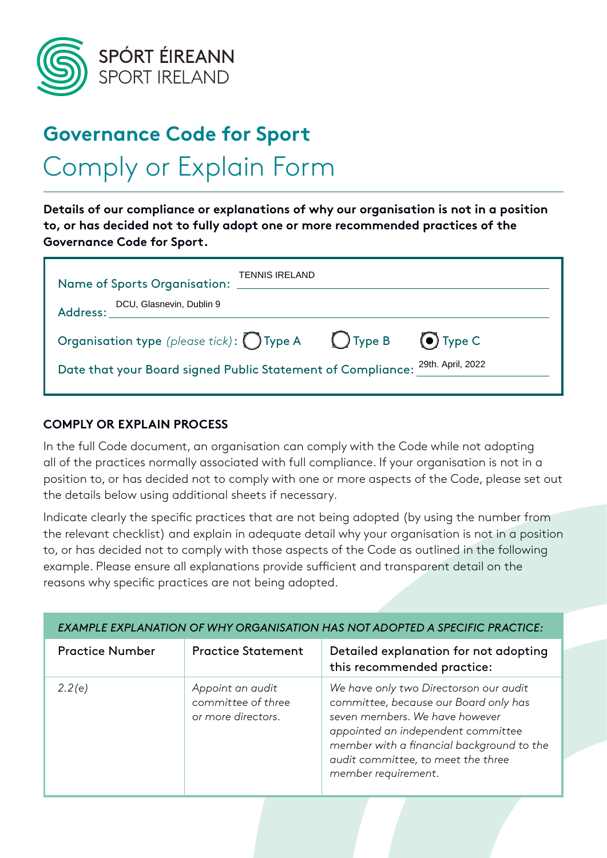

## **Governance Code for Sport** Comply or Explain Form

**Details of our compliance or explanations of why our organisation is not in a position to, or has decided not to fully adopt one or more recommended practices of the Governance Code for Sport.**

| Name of Sports Organisation: ___________                                      | <b>TENNIS IRELAND</b> |                |
|-------------------------------------------------------------------------------|-----------------------|----------------|
| Organisation type (please tick): $\bigcirc$ Type A $\bigcirc$ Type B          |                       | $\odot$ Type C |
| Date that your Board signed Public Statement of Compliance: 29th. April, 2022 |                       |                |

## **COMPLY OR EXPLAIN PROCESS**

In the full Code document, an organisation can comply with the Code while not adopting all of the practices normally associated with full compliance. If your organisation is not in a position to, or has decided not to comply with one or more aspects of the Code, please set out the details below using additional sheets if necessary.

Indicate clearly the specific practices that are not being adopted (by using the number from the relevant checklist) and explain in adequate detail why your organisation is not in a position to, or has decided not to comply with those aspects of the Code as outlined in the following example. Please ensure all explanations provide sufficient and transparent detail on the reasons why specific practices are not being adopted.

| EXAMPLE EXPLANATION OF WHY ORGANISATION HAS NOT ADOPTED A SPECIFIC PRACTICE: |                                                              |                                                                                                                                                                                                                                                                   |  |  |
|------------------------------------------------------------------------------|--------------------------------------------------------------|-------------------------------------------------------------------------------------------------------------------------------------------------------------------------------------------------------------------------------------------------------------------|--|--|
| <b>Practice Number</b>                                                       | <b>Practice Statement</b>                                    | Detailed explanation for not adopting<br>this recommended practice:                                                                                                                                                                                               |  |  |
| 2.2(e)                                                                       | Appoint an audit<br>committee of three<br>or more directors. | We have only two Directorson our audit<br>committee, because our Board only has<br>seven members. We have however<br>appointed an independent committee<br>member with a financial background to the<br>audit committee, to meet the three<br>member requirement. |  |  |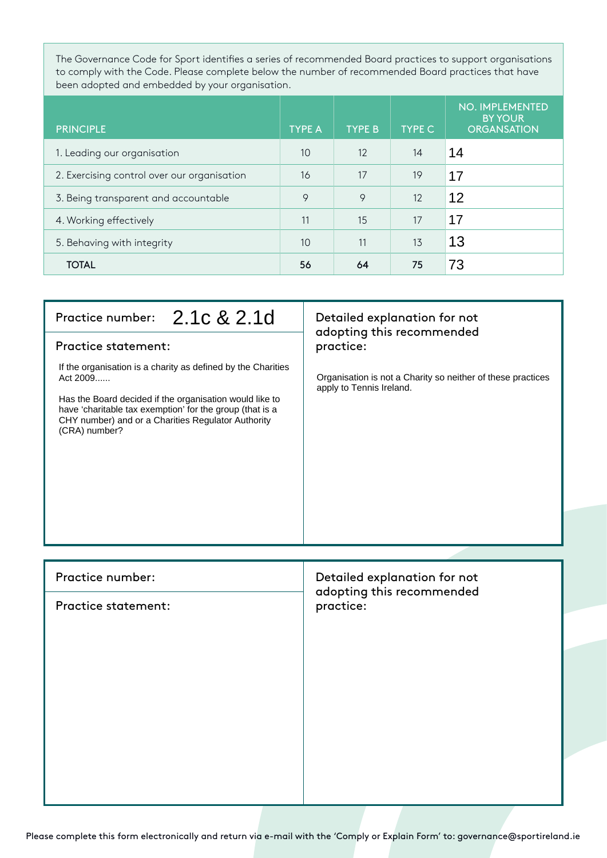The Governance Code for Sport identifies a series of recommended Board practices to support organisations to comply with the Code. Please complete below the number of recommended Board practices that have been adopted and embedded by your organisation.

| <b>PRINCIPLE</b>                            | <b>TYPE A</b> | <b>TYPE B</b> | <b>TYPE C</b> | <b>NO. IMPLEMENTED</b><br><b>BY YOUR</b><br><b>ORGANSATION</b> |
|---------------------------------------------|---------------|---------------|---------------|----------------------------------------------------------------|
| 1. Leading our organisation                 | 10            | 12            | 14            | 14                                                             |
| 2. Exercising control over our organisation | 16            | 17            | 19            | 17                                                             |
| 3. Being transparent and accountable        | 9             | 9             | 12            | 12                                                             |
| 4. Working effectively                      | 11            | 15            | 17            | 17                                                             |
| 5. Behaving with integrity                  | 10            | 11            | 13            | 13                                                             |
| <b>TOTAL</b>                                | 56            | 64            | 75            | 73                                                             |

| Practice number: 2.1c & 2.1d<br><b>Practice statement:</b><br>If the organisation is a charity as defined by the Charities<br>Act 2009<br>Has the Board decided if the organisation would like to<br>have 'charitable tax exemption' for the group (that is a<br>CHY number) and or a Charities Regulator Authority<br>(CRA) number? | Detailed explanation for not<br>adopting this recommended<br>practice:<br>Organisation is not a Charity so neither of these practices<br>apply to Tennis Ireland. |
|--------------------------------------------------------------------------------------------------------------------------------------------------------------------------------------------------------------------------------------------------------------------------------------------------------------------------------------|-------------------------------------------------------------------------------------------------------------------------------------------------------------------|
|                                                                                                                                                                                                                                                                                                                                      |                                                                                                                                                                   |
| Practice number:                                                                                                                                                                                                                                                                                                                     | Detailed explanation for not<br>adopting this recommended                                                                                                         |
| <b>Practice statement:</b>                                                                                                                                                                                                                                                                                                           | practice:                                                                                                                                                         |